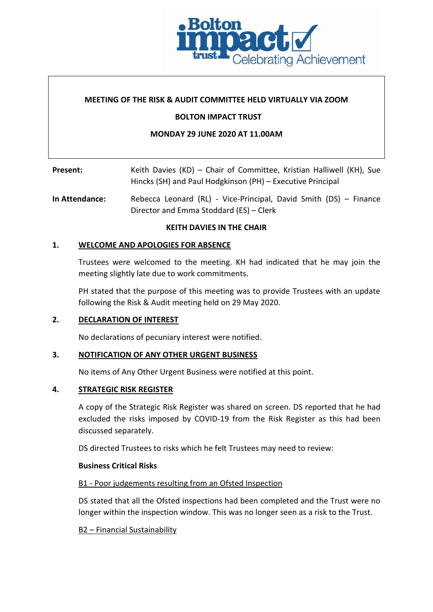

# **MEETING OF THE RISK & AUDIT COMMITTEE HELD VIRTUALLY VIA ZOOM**

# **BOLTON IMPACT TRUST**

### **MONDAY 29 JUNE 2020 AT 11.00AM**

# **Present:** Keith Davies (KD) – Chair of Committee, Kristian Halliwell (KH), Sue Hincks (SH) and Paul Hodgkinson (PH) – Executive Principal

# **In Attendance:** Rebecca Leonard (RL) - Vice-Principal, David Smith (DS) – Finance Director and Emma Stoddard (ES) – Clerk

### **KEITH DAVIES IN THE CHAIR**

### **1. WELCOME AND APOLOGIES FOR ABSENCE**

Trustees were welcomed to the meeting. KH had indicated that he may join the meeting slightly late due to work commitments.

PH stated that the purpose of this meeting was to provide Trustees with an update following the Risk & Audit meeting held on 29 May 2020.

# **2. DECLARATION OF INTEREST**

No declarations of pecuniary interest were notified.

### **3. NOTIFICATION OF ANY OTHER URGENT BUSINESS**

No items of Any Other Urgent Business were notified at this point.

# **4. STRATEGIC RISK REGISTER**

A copy of the Strategic Risk Register was shared on screen. DS reported that he had excluded the risks imposed by COVID-19 from the Risk Register as this had been discussed separately.

DS directed Trustees to risks which he felt Trustees may need to review:

#### **Business Critical Risks**

# B1 - Poor judgements resulting from an Ofsted Inspection

DS stated that all the Ofsted inspections had been completed and the Trust were no longer within the inspection window. This was no longer seen as a risk to the Trust.

B2 – Financial Sustainability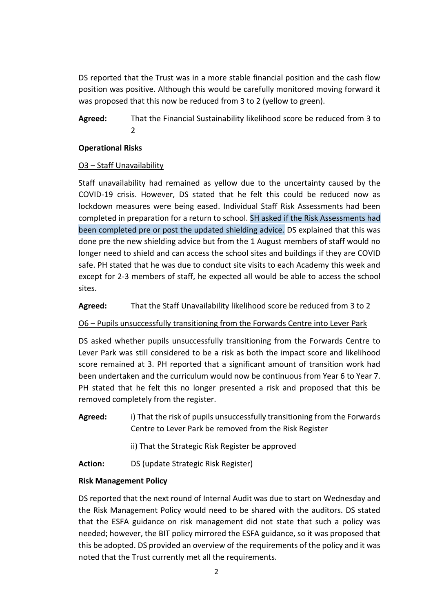DS reported that the Trust was in a more stable financial position and the cash flow position was positive. Although this would be carefully monitored moving forward it was proposed that this now be reduced from 3 to 2 (yellow to green).

**Agreed:** That the Financial Sustainability likelihood score be reduced from 3 to 2

# **Operational Risks**

# O3 – Staff Unavailability

Staff unavailability had remained as yellow due to the uncertainty caused by the COVID-19 crisis. However, DS stated that he felt this could be reduced now as lockdown measures were being eased. Individual Staff Risk Assessments had been completed in preparation for a return to school. SH asked if the Risk Assessments had been completed pre or post the updated shielding advice. DS explained that this was done pre the new shielding advice but from the 1 August members of staff would no longer need to shield and can access the school sites and buildings if they are COVID safe. PH stated that he was due to conduct site visits to each Academy this week and except for 2-3 members of staff, he expected all would be able to access the school sites.

**Agreed:** That the Staff Unavailability likelihood score be reduced from 3 to 2

# O6 – Pupils unsuccessfully transitioning from the Forwards Centre into Lever Park

DS asked whether pupils unsuccessfully transitioning from the Forwards Centre to Lever Park was still considered to be a risk as both the impact score and likelihood score remained at 3. PH reported that a significant amount of transition work had been undertaken and the curriculum would now be continuous from Year 6 to Year 7. PH stated that he felt this no longer presented a risk and proposed that this be removed completely from the register.

**Agreed:** i) That the risk of pupils unsuccessfully transitioning from the Forwards Centre to Lever Park be removed from the Risk Register

ii) That the Strategic Risk Register be approved

**Action:** DS (update Strategic Risk Register)

# **Risk Management Policy**

DS reported that the next round of Internal Audit was due to start on Wednesday and the Risk Management Policy would need to be shared with the auditors. DS stated that the ESFA guidance on risk management did not state that such a policy was needed; however, the BIT policy mirrored the ESFA guidance, so it was proposed that this be adopted. DS provided an overview of the requirements of the policy and it was noted that the Trust currently met all the requirements.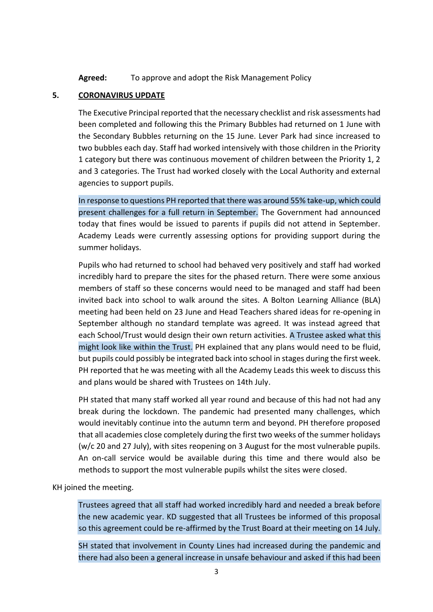**Agreed:** To approve and adopt the Risk Management Policy

# **5. CORONAVIRUS UPDATE**

The Executive Principal reported that the necessary checklist and risk assessments had been completed and following this the Primary Bubbles had returned on 1 June with the Secondary Bubbles returning on the 15 June. Lever Park had since increased to two bubbles each day. Staff had worked intensively with those children in the Priority 1 category but there was continuous movement of children between the Priority 1, 2 and 3 categories. The Trust had worked closely with the Local Authority and external agencies to support pupils.

In response to questions PH reported that there was around 55% take-up, which could present challenges for a full return in September. The Government had announced today that fines would be issued to parents if pupils did not attend in September. Academy Leads were currently assessing options for providing support during the summer holidays.

Pupils who had returned to school had behaved very positively and staff had worked incredibly hard to prepare the sites for the phased return. There were some anxious members of staff so these concerns would need to be managed and staff had been invited back into school to walk around the sites. A Bolton Learning Alliance (BLA) meeting had been held on 23 June and Head Teachers shared ideas for re-opening in September although no standard template was agreed. It was instead agreed that each School/Trust would design their own return activities. A Trustee asked what this might look like within the Trust. PH explained that any plans would need to be fluid, but pupils could possibly be integrated back into school in stages during the first week. PH reported that he was meeting with all the Academy Leads this week to discuss this and plans would be shared with Trustees on 14th July.

PH stated that many staff worked all year round and because of this had not had any break during the lockdown. The pandemic had presented many challenges, which would inevitably continue into the autumn term and beyond. PH therefore proposed that all academies close completely during the first two weeks of the summer holidays (w/c 20 and 27 July), with sites reopening on 3 August for the most vulnerable pupils. An on-call service would be available during this time and there would also be methods to support the most vulnerable pupils whilst the sites were closed.

KH joined the meeting.

Trustees agreed that all staff had worked incredibly hard and needed a break before the new academic year. KD suggested that all Trustees be informed of this proposal so this agreement could be re-affirmed by the Trust Board at their meeting on 14 July.

SH stated that involvement in County Lines had increased during the pandemic and there had also been a general increase in unsafe behaviour and asked if this had been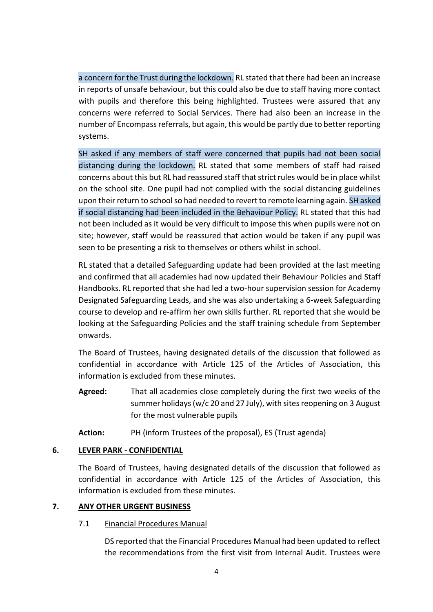a concern for the Trust during the lockdown. RL stated that there had been an increase in reports of unsafe behaviour, but this could also be due to staff having more contact with pupils and therefore this being highlighted. Trustees were assured that any concerns were referred to Social Services. There had also been an increase in the number of Encompass referrals, but again, this would be partly due to better reporting systems.

SH asked if any members of staff were concerned that pupils had not been social distancing during the lockdown. RL stated that some members of staff had raised concerns about this but RL had reassured staff that strict rules would be in place whilst on the school site. One pupil had not complied with the social distancing guidelines upon their return to school so had needed to revert to remote learning again. SH asked if social distancing had been included in the Behaviour Policy. RL stated that this had not been included as it would be very difficult to impose this when pupils were not on site; however, staff would be reassured that action would be taken if any pupil was seen to be presenting a risk to themselves or others whilst in school.

RL stated that a detailed Safeguarding update had been provided at the last meeting and confirmed that all academies had now updated their Behaviour Policies and Staff Handbooks. RL reported that she had led a two-hour supervision session for Academy Designated Safeguarding Leads, and she was also undertaking a 6-week Safeguarding course to develop and re-affirm her own skills further. RL reported that she would be looking at the Safeguarding Policies and the staff training schedule from September onwards.

The Board of Trustees, having designated details of the discussion that followed as confidential in accordance with Article 125 of the Articles of Association, this information is excluded from these minutes.

- **Agreed:** That all academies close completely during the first two weeks of the summer holidays (w/c 20 and 27 July), with sites reopening on 3 August for the most vulnerable pupils
- **Action:** PH (inform Trustees of the proposal), ES (Trust agenda)

# **6. LEVER PARK - CONFIDENTIAL**

The Board of Trustees, having designated details of the discussion that followed as confidential in accordance with Article 125 of the Articles of Association, this information is excluded from these minutes.

# **7. ANY OTHER URGENT BUSINESS**

# 7.1 Financial Procedures Manual

DS reported that the Financial Procedures Manual had been updated to reflect the recommendations from the first visit from Internal Audit. Trustees were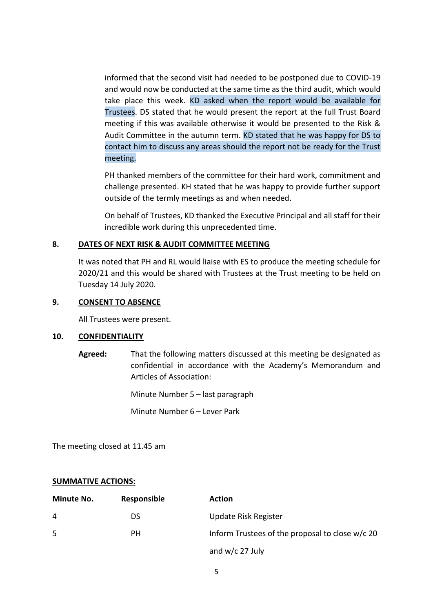informed that the second visit had needed to be postponed due to COVID-19 and would now be conducted at the same time as the third audit, which would take place this week. KD asked when the report would be available for Trustees. DS stated that he would present the report at the full Trust Board meeting if this was available otherwise it would be presented to the Risk & Audit Committee in the autumn term. KD stated that he was happy for DS to contact him to discuss any areas should the report not be ready for the Trust meeting.

PH thanked members of the committee for their hard work, commitment and challenge presented. KH stated that he was happy to provide further support outside of the termly meetings as and when needed.

On behalf of Trustees, KD thanked the Executive Principal and all staff for their incredible work during this unprecedented time.

### **8. DATES OF NEXT RISK & AUDIT COMMITTEE MEETING**

It was noted that PH and RL would liaise with ES to produce the meeting schedule for 2020/21 and this would be shared with Trustees at the Trust meeting to be held on Tuesday 14 July 2020.

#### **9. CONSENT TO ABSENCE**

All Trustees were present.

#### **10. CONFIDENTIALITY**

**Agreed:** That the following matters discussed at this meeting be designated as confidential in accordance with the Academy's Memorandum and Articles of Association:

Minute Number 5 – last paragraph

Minute Number 6 – Lever Park

The meeting closed at 11.45 am

# **SUMMATIVE ACTIONS:**

| Minute No. | Responsible | <b>Action</b>                                   |
|------------|-------------|-------------------------------------------------|
| 4          | DS          | Update Risk Register                            |
| 5          | PН          | Inform Trustees of the proposal to close w/c 20 |
|            |             | and $w/c$ 27 July                               |